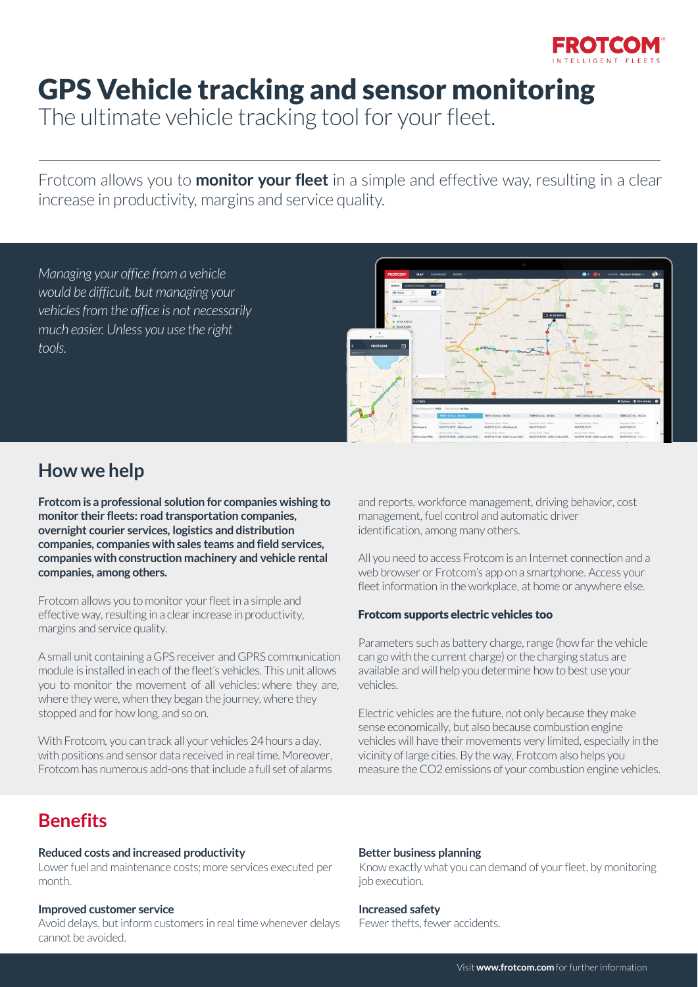

# GPS Vehicle tracking and sensor monitoring

The ultimate vehicle tracking tool for your fleet.

Frotcom allows you to **monitor your fleet** in a simple and effective way, resulting in a clear increase in productivity, margins and service quality.

*Managing your office from a vehicle would be difficult, but managing your vehicles from the office is not necessarily much easier. Unless you use the right tools.*



# **How we help**

**Frotcom is a professional solution for companies wishing to monitor their fleets: road transportation companies, overnight courier services, logistics and distribution companies, companies with sales teams and field services, companies with construction machinery and vehicle rental companies, among others.**

Frotcom allows you to monitor your fleet in a simple and effective way, resulting in a clear increase in productivity, margins and service quality.

A small unit containing a GPS receiver and GPRS communication module is installed in each of the fleet's vehicles. This unit allows you to monitor the movement of all vehicles: where they are, where they were, when they began the journey, where they stopped and for how long, and so on.

With Frotcom, you can track all your vehicles 24 hours a day, with positions and sensor data received in real time. Moreover, Frotcom has numerous add-ons that include a full set of alarms

and reports, workforce management, driving behavior, cost management, fuel control and automatic driver identification, among many others.

All you need to access Frotcom is an Internet connection and a web browser or Frotcom's app on a smartphone. Access your fleet information in the workplace, at home or anywhere else.

#### Frotcom supports electric vehicles too

Parameters such as battery charge, range (how far the vehicle can go with the current charge) or the charging status are available and will help you determine how to best use your vehicles.

Electric vehicles are the future, not only because they make sense economically, but also because combustion engine vehicles will have their movements very limited, especially in the vicinity of large cities. By the way, Frotcom also helps you measure the CO2 emissions of your combustion engine vehicles.

## **Benefits**

#### **Reduced costs and increased productivity**

Lower fuel and maintenance costs; more services executed per month.

#### **Improved customer service**

Avoid delays, but inform customers in real time whenever delays cannot be avoided.

#### **Better business planning**

Know exactly what you can demand of your fleet, by monitoring job execution.

### **Increased safety**

Fewer thefts, fewer accidents.